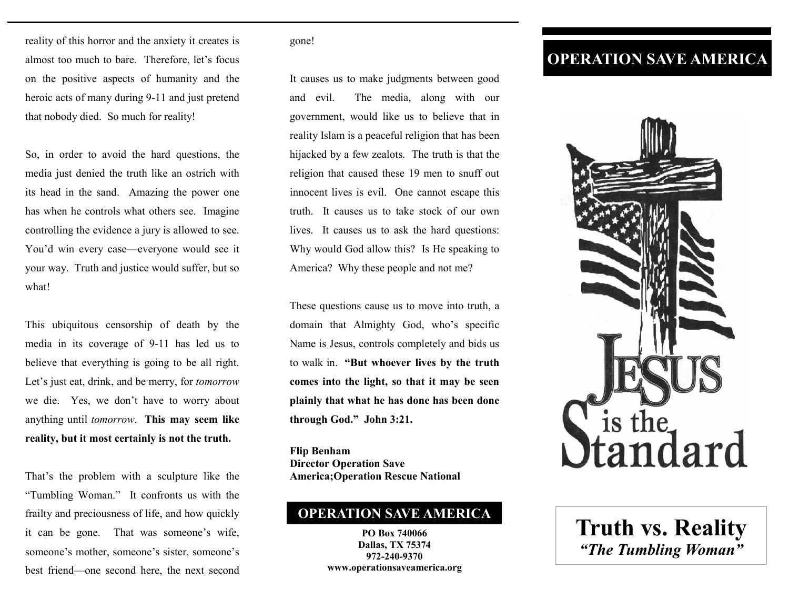reality of this horror and the anxiety it creates is almost too much to bare. Therefore, let's focus on the positive aspects of humanity and the heroic acts of many during 9-11 and just pretend that nobody died. So much for reality!

So, in order to avoid the hard questions, the media just denied the truth like an ostrich with its head in the sand. Amazing the power one has when he controls what others see. Imagine controlling the evidence a jury is allowed to see. You'd win every case—everyone would see it your way. Truth and justice would suffer, but so what!

This ubiquitous censorship of death by the media in its coverage of 9-11 has led us to believe that everything is going to be all right. Let's just eat, drink, and be merry, for *tomorrow* we die. Yes, we don't have to worry about anything until *tomorrow*. **This may seem like reality, but it most certainly is not the truth.** 

That's the problem with a sculpture like the "Tumbling Woman." It confronts us with the frailty and preciousness of life, and how quickly it can be gone. That was someone's wife, someone's mother, someone's sister, someone's best friend—one second here, the next second

## gone!

It causes us to make judgments between good and evil. The media, along with our government, would like us to believe that in reality Islam is a peaceful religion that has been hijacked by a few zealots. The truth is that the religion that caused these 19 men to snuff out innocent lives is evil. One cannot escape this truth. It causes us to take stock of our own lives. It causes us to ask the hard questions: Why would God allow this? Is He speaking to America? Why these people and not me?

These questions cause us to move into truth, a domain that Almighty God, who's specific Name is Jesus, controls completely and bids us to walk in. **"But whoever lives by the truth comes into the light, so that it may be seen plainly that what he has done has been done through God." John 3:21.** 

**Flip Benham Director Operation Save America;Operation Rescue National**

## **OPERATION SAVE AMERICA**

**PO Box 740066 Dallas, TX 75374 972-240-9370 www.operationsaveamerica.org** 

## **OPERATION SAVE AMERICA**



**Truth vs. Reality**  *"The Tumbling Woman"*